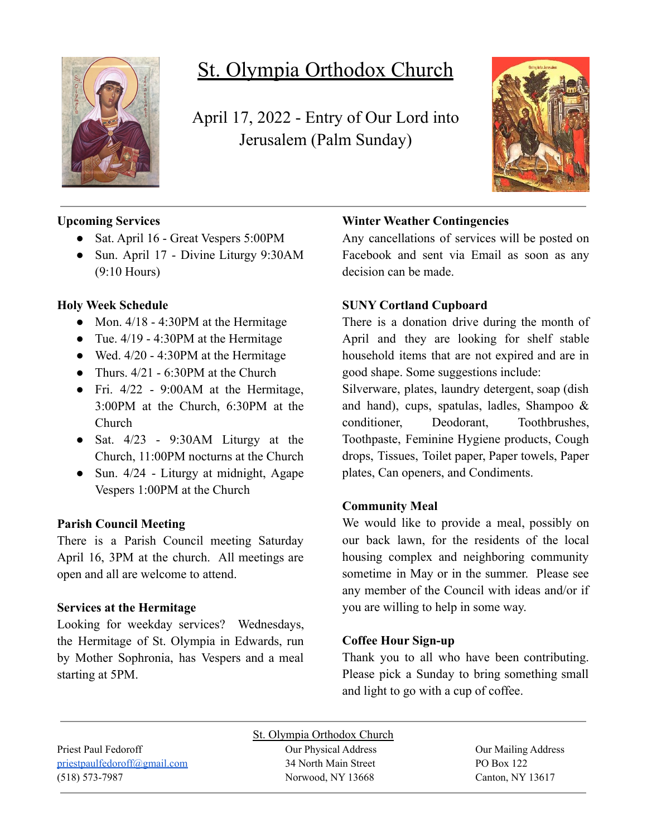

# St. Olympia Orthodox Church

April 17, 2022 - Entry of Our Lord into Jerusalem (Palm Sunday)



# **Upcoming Services**

- Sat. April 16 Great Vespers 5:00PM
- Sun. April 17 Divine Liturgy 9:30AM (9:10 Hours)

# **Holy Week Schedule**

- Mon.  $4/18 4:30$ PM at the Hermitage
- Tue.  $4/19 4:30$ PM at the Hermitage
- Wed.  $4/20 4:30$ PM at the Hermitage
- Thurs.  $4/21 6:30$ PM at the Church
- Fri.  $4/22$  9:00 AM at the Hermitage, 3:00PM at the Church, 6:30PM at the Church
- Sat.  $4/23$  9:30AM Liturgy at the Church, 11:00PM nocturns at the Church
- Sun. 4/24 Liturgy at midnight, Agape Vespers 1:00PM at the Church

### **Parish Council Meeting**

There is a Parish Council meeting Saturday April 16, 3PM at the church. All meetings are open and all are welcome to attend.

#### **Services at the Hermitage**

Looking for weekday services? Wednesdays, the Hermitage of St. Olympia in Edwards, run by Mother Sophronia, has Vespers and a meal starting at 5PM.

# **Winter Weather Contingencies**

Any cancellations of services will be posted on Facebook and sent via Email as soon as any decision can be made.

### **SUNY Cortland Cupboard**

There is a donation drive during the month of April and they are looking for shelf stable household items that are not expired and are in good shape. Some suggestions include:

Silverware, plates, laundry detergent, soap (dish and hand), cups, spatulas, ladles, Shampoo & conditioner, Deodorant, Toothbrushes, Toothpaste, Feminine Hygiene products, Cough drops, Tissues, Toilet paper, Paper towels, Paper plates, Can openers, and Condiments.

### **Community Meal**

We would like to provide a meal, possibly on our back lawn, for the residents of the local housing complex and neighboring community sometime in May or in the summer. Please see any member of the Council with ideas and/or if you are willing to help in some way.

### **Coffee Hour Sign-up**

Thank you to all who have been contributing. Please pick a Sunday to bring something small and light to go with a cup of coffee.

Priest Paul Fedoroff Our Physical Address Our Mailing Address [priestpaulfedoroff@gmail.com](mailto:priestpaulfedoroff@gmail.com) 34 North Main Street PO Box 122 (518) 573-7987 Norwood, NY 13668 Canton, NY 13617

St. Olympia Orthodox Church